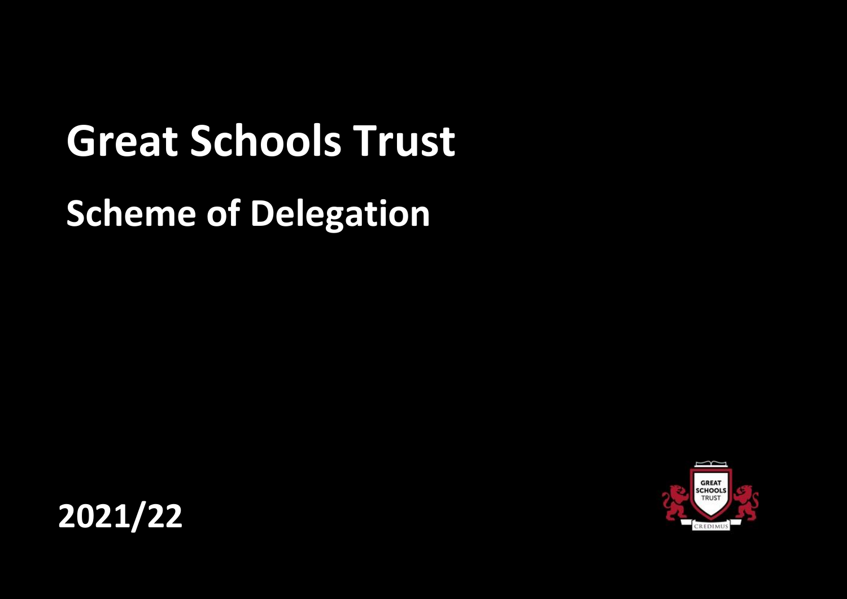# **Great Schools Trust**

## **Scheme of Delegation**



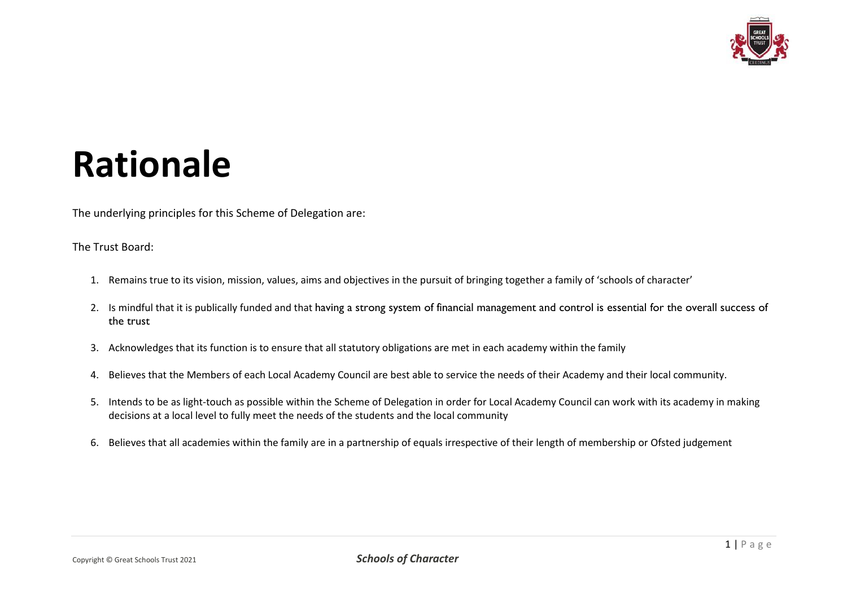

### **Rationale**

The underlying principles for this Scheme of Delegation are:

The Trust Board:

- 1. Remains true to its vision, mission, values, aims and objectives in the pursuit of bringing together a family of 'schools of character'
- 2. Is mindful that it is publically funded and that having a strong system of financial management and control is essential for the overall success of the trust
- 3. Acknowledges that its function is to ensure that all statutory obligations are met in each academy within the family
- 4. Believes that the Members of each Local Academy Council are best able to service the needs of their Academy and their local community.
- 5. Intends to be as light-touch as possible within the Scheme of Delegation in order for Local Academy Council can work with its academy in making decisions at a local level to fully meet the needs of the students and the local community
- 6. Believes that all academies within the family are in a partnership of equals irrespective of their length of membership or Ofsted judgement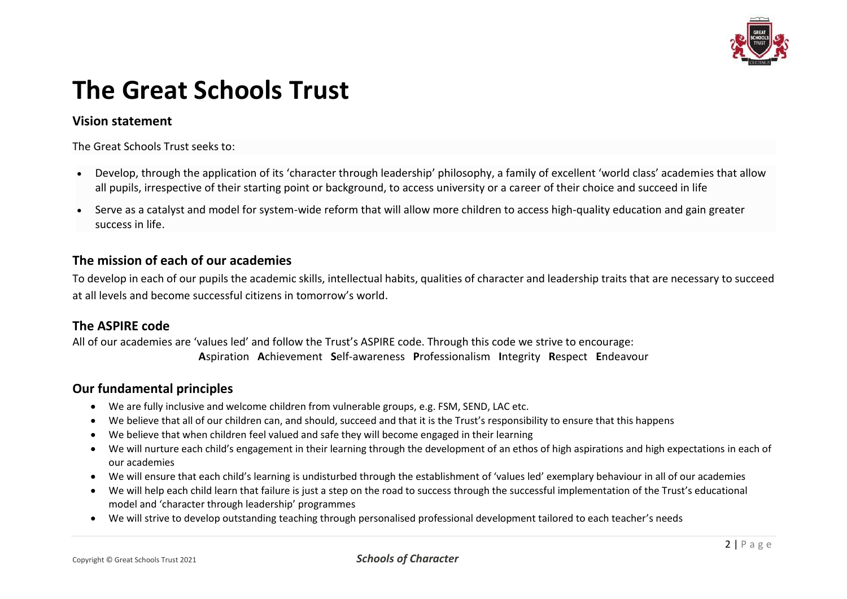

### **The Great Schools Trust**

#### **Vision statement**

The Great Schools Trust seeks to:

- Develop, through the application of its 'character through leadership' philosophy, a family of excellent 'world class' academies that allow all pupils, irrespective of their starting point or background, to access university or a career of their choice and succeed in life
- Serve as a catalyst and model for system-wide reform that will allow more children to access high-quality education and gain greater success in life.

#### **The mission of each of our academies**

To develop in each of our pupils the academic skills, intellectual habits, qualities of character and leadership traits that are necessary to succeed at all levels and become successful citizens in tomorrow's world.

#### **The ASPIRE code**

All of our academies are 'values led' and follow the Trust's ASPIRE code. Through this code we strive to encourage: **A**spiration **A**chievement **S**elf-awareness **P**rofessionalism **I**ntegrity **R**espect **E**ndeavour

#### **Our fundamental principles**

- We are fully inclusive and welcome children from vulnerable groups, e.g. FSM, SEND, LAC etc.
- We believe that all of our children can, and should, succeed and that it is the Trust's responsibility to ensure that this happens
- We believe that when children feel valued and safe they will become engaged in their learning
- We will nurture each child's engagement in their learning through the development of an ethos of high aspirations and high expectations in each of our academies
- We will ensure that each child's learning is undisturbed through the establishment of 'values led' exemplary behaviour in all of our academies
- We will help each child learn that failure is just a step on the road to success through the successful implementation of the Trust's educational model and 'character through leadership' programmes
- We will strive to develop outstanding teaching through personalised professional development tailored to each teacher's needs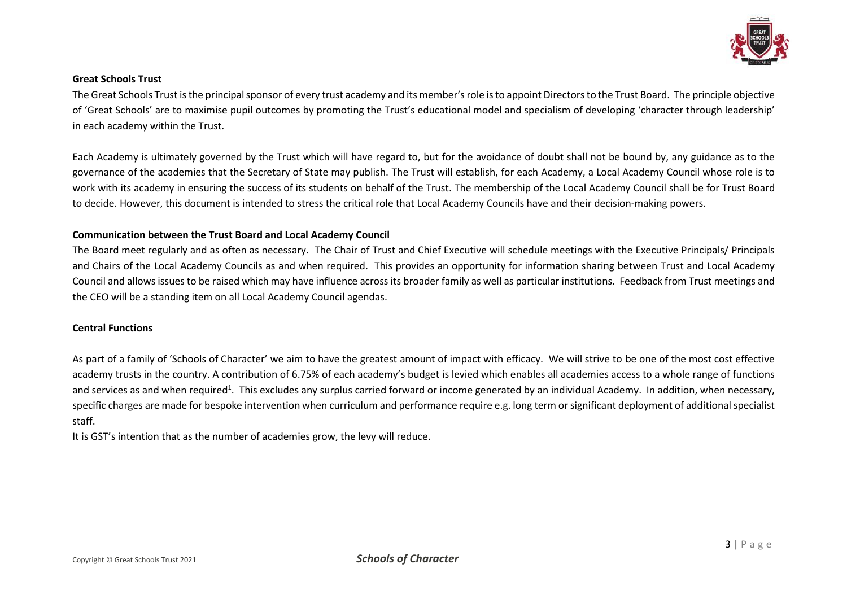

#### **Great Schools Trust**

The Great Schools Trust is the principal sponsor of every trust academy and its member's role is to appoint Directors to the Trust Board. The principle objective of 'Great Schools' are to maximise pupil outcomes by promoting the Trust's educational model and specialism of developing 'character through leadership' in each academy within the Trust.

Each Academy is ultimately governed by the Trust which will have regard to, but for the avoidance of doubt shall not be bound by, any guidance as to the governance of the academies that the Secretary of State may publish. The Trust will establish, for each Academy, a Local Academy Council whose role is to work with its academy in ensuring the success of its students on behalf of the Trust. The membership of the Local Academy Council shall be for Trust Board to decide. However, this document is intended to stress the critical role that Local Academy Councils have and their decision-making powers.

#### **Communication between the Trust Board and Local Academy Council**

The Board meet regularly and as often as necessary. The Chair of Trust and Chief Executive will schedule meetings with the Executive Principals/ Principals and Chairs of the Local Academy Councils as and when required. This provides an opportunity for information sharing between Trust and Local Academy Council and allows issues to be raised which may have influence across its broader family as well as particular institutions. Feedback from Trust meetings and the CEO will be a standing item on all Local Academy Council agendas.

#### **Central Functions**

As part of a family of 'Schools of Character' we aim to have the greatest amount of impact with efficacy. We will strive to be one of the most cost effective academy trusts in the country. A contribution of 6.75% of each academy's budget is levied which enables all academies access to a whole range of functions and services as and when required<sup>1</sup>. This excludes any surplus carried forward or income generated by an individual Academy. In addition, when necessary, specific charges are made for bespoke intervention when curriculum and performance require e.g. long term or significant deployment of additional specialist staff.

It is GST's intention that as the number of academies grow, the levy will reduce.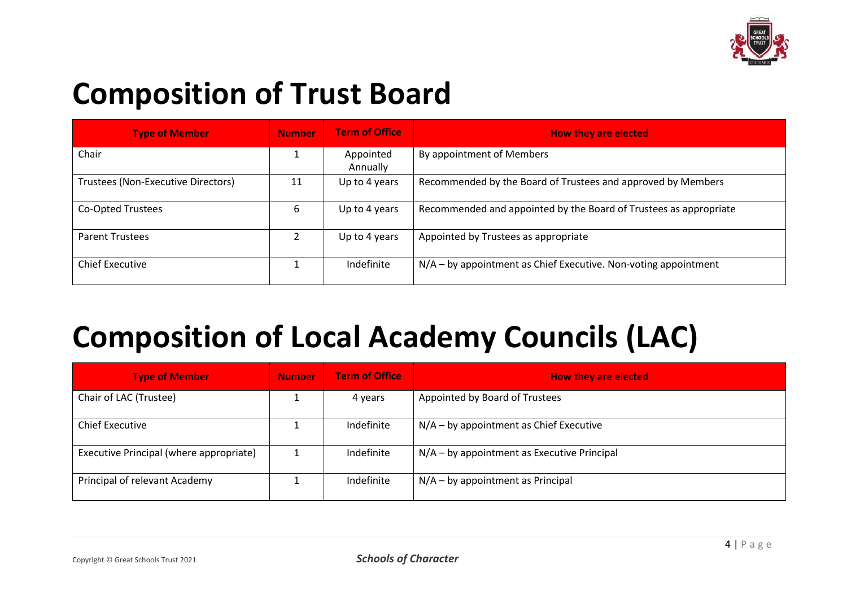

### **Composition of Trust Board**

| <b>Type of Member</b>              | <b>Number</b> | <b>Term of Office</b> | <b>How they are elected</b>                                       |
|------------------------------------|---------------|-----------------------|-------------------------------------------------------------------|
| Chair                              |               | Appointed<br>Annually | By appointment of Members                                         |
| Trustees (Non-Executive Directors) | 11            | Up to 4 years         | Recommended by the Board of Trustees and approved by Members      |
| Co-Opted Trustees                  | 6             | Up to 4 years         | Recommended and appointed by the Board of Trustees as appropriate |
| <b>Parent Trustees</b>             |               | Up to 4 years         | Appointed by Trustees as appropriate                              |
| <b>Chief Executive</b>             |               | Indefinite            | $N/A - by$ appointment as Chief Executive. Non-voting appointment |

### **Composition of Local Academy Councils (LAC)**

| <b>Type of Member</b>                   | <b>Number</b> | <b>Term of Office</b> | <b>How they are elected</b>                 |
|-----------------------------------------|---------------|-----------------------|---------------------------------------------|
| Chair of LAC (Trustee)                  |               | 4 years               | Appointed by Board of Trustees              |
| <b>Chief Executive</b>                  |               | Indefinite            | N/A - by appointment as Chief Executive     |
| Executive Principal (where appropriate) |               | Indefinite            | N/A - by appointment as Executive Principal |
| Principal of relevant Academy           |               | Indefinite            | $N/A - by a point$ ment as Principal        |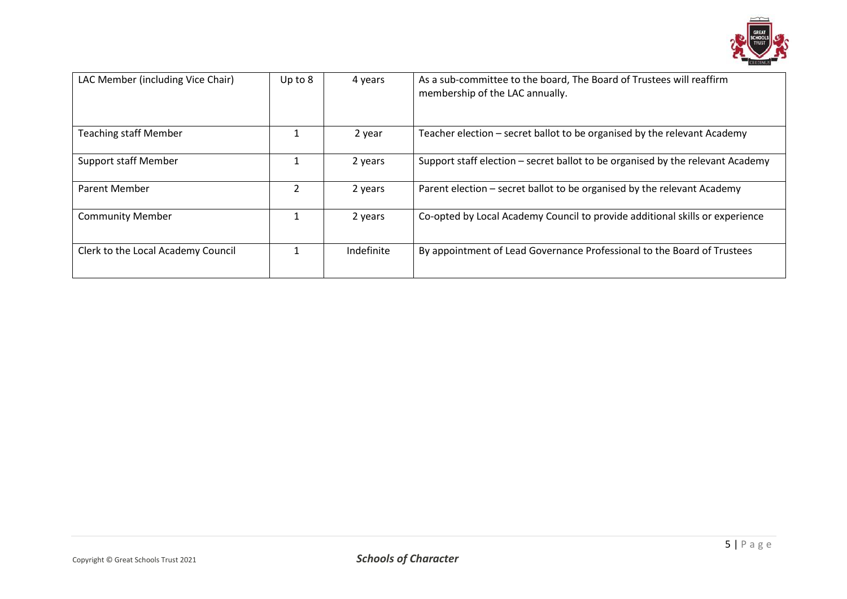

| LAC Member (including Vice Chair)  | Up to $8$ | 4 years    | As a sub-committee to the board, The Board of Trustees will reaffirm<br>membership of the LAC annually. |
|------------------------------------|-----------|------------|---------------------------------------------------------------------------------------------------------|
| <b>Teaching staff Member</b>       |           | 2 year     | Teacher election - secret ballot to be organised by the relevant Academy                                |
| Support staff Member               |           | 2 years    | Support staff election – secret ballot to be organised by the relevant Academy                          |
| <b>Parent Member</b>               |           | 2 years    | Parent election - secret ballot to be organised by the relevant Academy                                 |
| <b>Community Member</b>            |           | 2 years    | Co-opted by Local Academy Council to provide additional skills or experience                            |
| Clerk to the Local Academy Council |           | Indefinite | By appointment of Lead Governance Professional to the Board of Trustees                                 |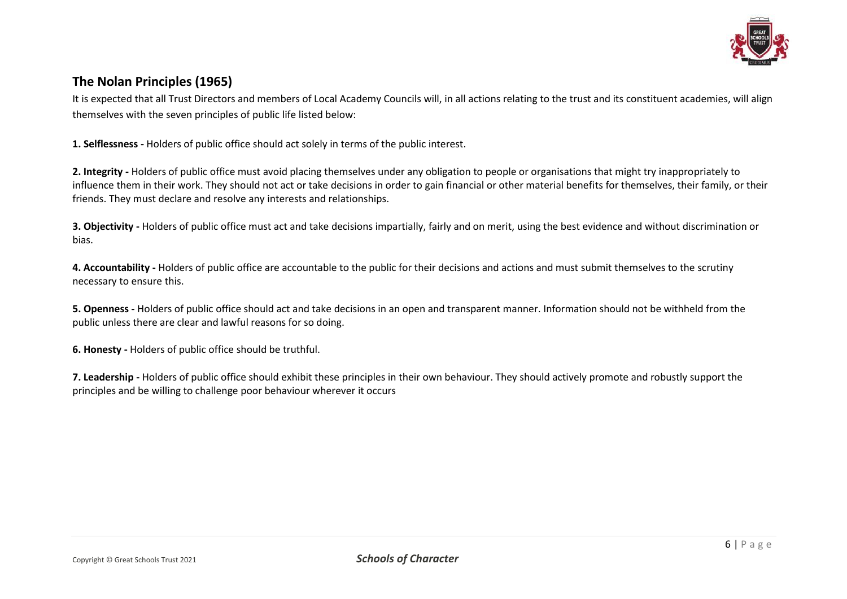

#### **The Nolan Principles (1965)**

It is expected that all Trust Directors and members of Local Academy Councils will, in all actions relating to the trust and its constituent academies, will align themselves with the seven principles of public life listed below:

**1. Selflessness -** Holders of public office should act solely in terms of the public interest.

**2. Integrity -** Holders of public office must avoid placing themselves under any obligation to people or organisations that might try inappropriately to influence them in their work. They should not act or take decisions in order to gain financial or other material benefits for themselves, their family, or their friends. They must declare and resolve any interests and relationships.

**3. Objectivity -** Holders of public office must act and take decisions impartially, fairly and on merit, using the best evidence and without discrimination or bias.

**4. Accountability -** Holders of public office are accountable to the public for their decisions and actions and must submit themselves to the scrutiny necessary to ensure this.

**5. Openness -** Holders of public office should act and take decisions in an open and transparent manner. Information should not be withheld from the public unless there are clear and lawful reasons for so doing.

**6. Honesty -** Holders of public office should be truthful.

**7. Leadership -** Holders of public office should exhibit these principles in their own behaviour. They should actively promote and robustly support the principles and be willing to challenge poor behaviour wherever it occurs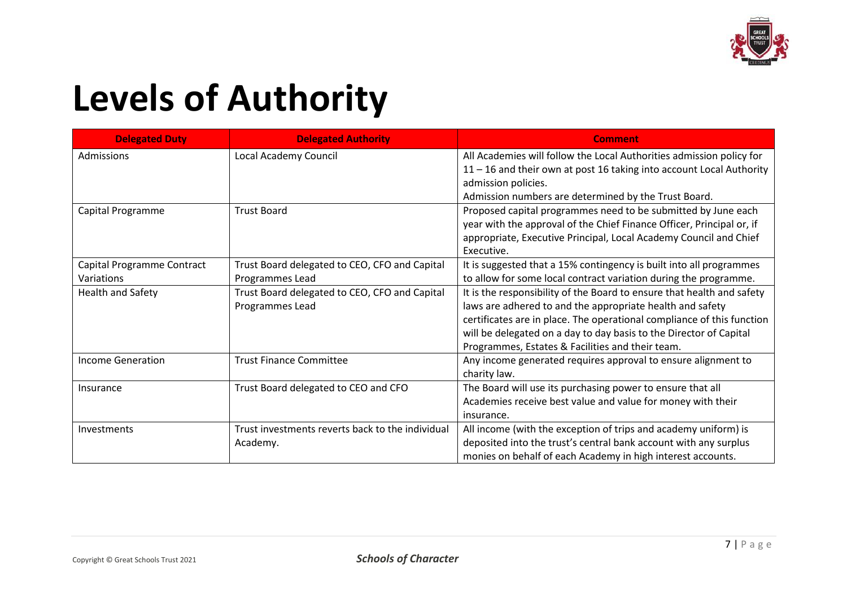

## **Levels of Authority**

| <b>Delegated Duty</b>      | <b>Delegated Authority</b>                       | <b>Comment</b>                                                         |
|----------------------------|--------------------------------------------------|------------------------------------------------------------------------|
| Admissions                 | Local Academy Council                            | All Academies will follow the Local Authorities admission policy for   |
|                            |                                                  | 11 - 16 and their own at post 16 taking into account Local Authority   |
|                            |                                                  | admission policies.                                                    |
|                            |                                                  | Admission numbers are determined by the Trust Board.                   |
| Capital Programme          | <b>Trust Board</b>                               | Proposed capital programmes need to be submitted by June each          |
|                            |                                                  | year with the approval of the Chief Finance Officer, Principal or, if  |
|                            |                                                  | appropriate, Executive Principal, Local Academy Council and Chief      |
|                            |                                                  | Executive.                                                             |
| Capital Programme Contract | Trust Board delegated to CEO, CFO and Capital    | It is suggested that a 15% contingency is built into all programmes    |
| Variations                 | Programmes Lead                                  | to allow for some local contract variation during the programme.       |
| <b>Health and Safety</b>   | Trust Board delegated to CEO, CFO and Capital    | It is the responsibility of the Board to ensure that health and safety |
|                            | Programmes Lead                                  | laws are adhered to and the appropriate health and safety              |
|                            |                                                  | certificates are in place. The operational compliance of this function |
|                            |                                                  | will be delegated on a day to day basis to the Director of Capital     |
|                            |                                                  | Programmes, Estates & Facilities and their team.                       |
| <b>Income Generation</b>   | <b>Trust Finance Committee</b>                   | Any income generated requires approval to ensure alignment to          |
|                            |                                                  | charity law.                                                           |
| Insurance                  | Trust Board delegated to CEO and CFO             | The Board will use its purchasing power to ensure that all             |
|                            |                                                  | Academies receive best value and value for money with their            |
|                            |                                                  | insurance.                                                             |
| Investments                | Trust investments reverts back to the individual | All income (with the exception of trips and academy uniform) is        |
|                            | Academy.                                         | deposited into the trust's central bank account with any surplus       |
|                            |                                                  | monies on behalf of each Academy in high interest accounts.            |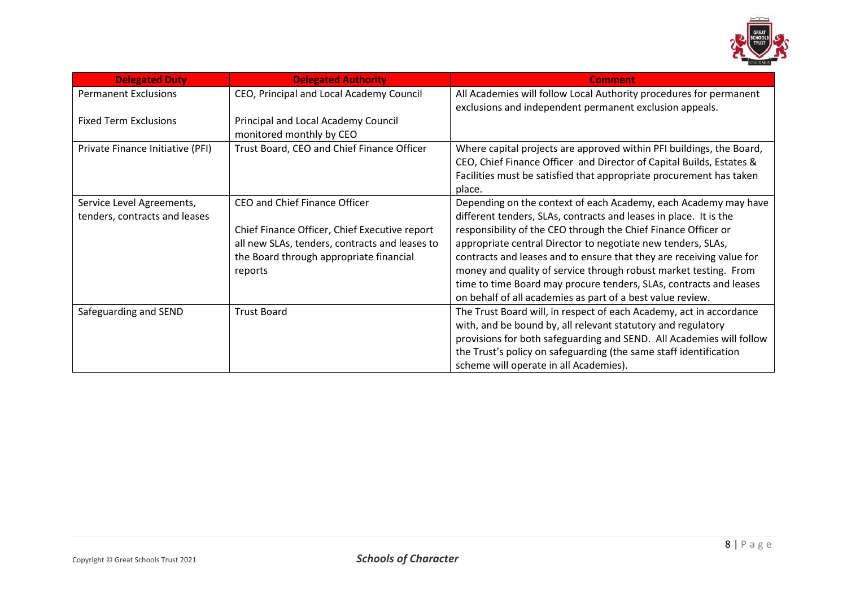

| <b>Delegated Duty</b>                                      | <b>Delegated Authority</b>                                                                                                                                                             | <b>Comment</b>                                                                                                                                                                                                                                                                                                                                                                                                                                                                                                                                         |
|------------------------------------------------------------|----------------------------------------------------------------------------------------------------------------------------------------------------------------------------------------|--------------------------------------------------------------------------------------------------------------------------------------------------------------------------------------------------------------------------------------------------------------------------------------------------------------------------------------------------------------------------------------------------------------------------------------------------------------------------------------------------------------------------------------------------------|
| <b>Permanent Exclusions</b>                                | CEO, Principal and Local Academy Council                                                                                                                                               | All Academies will follow Local Authority procedures for permanent<br>exclusions and independent permanent exclusion appeals.                                                                                                                                                                                                                                                                                                                                                                                                                          |
| <b>Fixed Term Exclusions</b>                               | Principal and Local Academy Council<br>monitored monthly by CEO                                                                                                                        |                                                                                                                                                                                                                                                                                                                                                                                                                                                                                                                                                        |
| Private Finance Initiative (PFI)                           | Trust Board, CEO and Chief Finance Officer                                                                                                                                             | Where capital projects are approved within PFI buildings, the Board,<br>CEO, Chief Finance Officer and Director of Capital Builds, Estates &<br>Facilities must be satisfied that appropriate procurement has taken<br>place.                                                                                                                                                                                                                                                                                                                          |
| Service Level Agreements,<br>tenders, contracts and leases | CEO and Chief Finance Officer<br>Chief Finance Officer, Chief Executive report<br>all new SLAs, tenders, contracts and leases to<br>the Board through appropriate financial<br>reports | Depending on the context of each Academy, each Academy may have<br>different tenders, SLAs, contracts and leases in place. It is the<br>responsibility of the CEO through the Chief Finance Officer or<br>appropriate central Director to negotiate new tenders, SLAs,<br>contracts and leases and to ensure that they are receiving value for<br>money and quality of service through robust market testing. From<br>time to time Board may procure tenders, SLAs, contracts and leases<br>on behalf of all academies as part of a best value review. |
| Safeguarding and SEND                                      | <b>Trust Board</b>                                                                                                                                                                     | The Trust Board will, in respect of each Academy, act in accordance<br>with, and be bound by, all relevant statutory and regulatory<br>provisions for both safeguarding and SEND. All Academies will follow<br>the Trust's policy on safeguarding (the same staff identification<br>scheme will operate in all Academies).                                                                                                                                                                                                                             |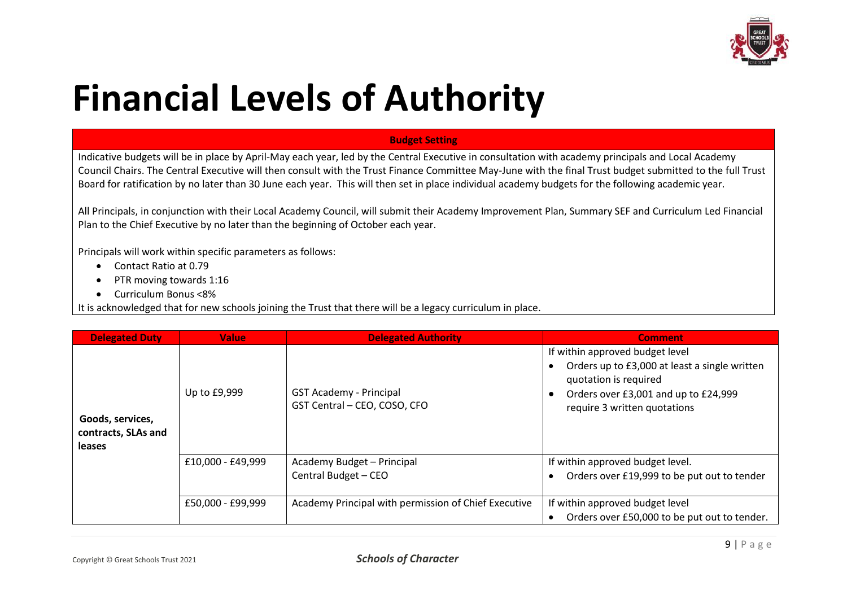

## **Financial Levels of Authority**

#### **Budget Setting**

Indicative budgets will be in place by April-May each year, led by the Central Executive in consultation with academy principals and Local Academy Council Chairs. The Central Executive will then consult with the Trust Finance Committee May-June with the final Trust budget submitted to the full Trust Board for ratification by no later than 30 June each year. This will then set in place individual academy budgets for the following academic year.

All Principals, in conjunction with their Local Academy Council, will submit their Academy Improvement Plan, Summary SEF and Curriculum Led Financial Plan to the Chief Executive by no later than the beginning of October each year.

Principals will work within specific parameters as follows:

- Contact Ratio at 0.79
- PTR moving towards 1:16
- Curriculum Bonus <8%

It is acknowledged that for new schools joining the Trust that there will be a legacy curriculum in place.

| <b>Delegated Duty</b>                                    | <b>Value</b>      | <b>Delegated Authority</b>                                     | <b>Comment</b>                                                                                                                                                                    |
|----------------------------------------------------------|-------------------|----------------------------------------------------------------|-----------------------------------------------------------------------------------------------------------------------------------------------------------------------------------|
| Goods, services,<br>contracts, SLAs and<br><b>leases</b> | Up to £9,999      | <b>GST Academy - Principal</b><br>GST Central - CEO, COSO, CFO | If within approved budget level<br>Orders up to £3,000 at least a single written<br>quotation is required<br>Orders over £3,001 and up to £24,999<br>require 3 written quotations |
|                                                          | £10,000 - £49,999 | Academy Budget - Principal<br>Central Budget - CEO             | If within approved budget level.<br>Orders over £19,999 to be put out to tender                                                                                                   |
|                                                          | £50,000 - £99,999 | Academy Principal with permission of Chief Executive           | If within approved budget level<br>Orders over £50,000 to be put out to tender.                                                                                                   |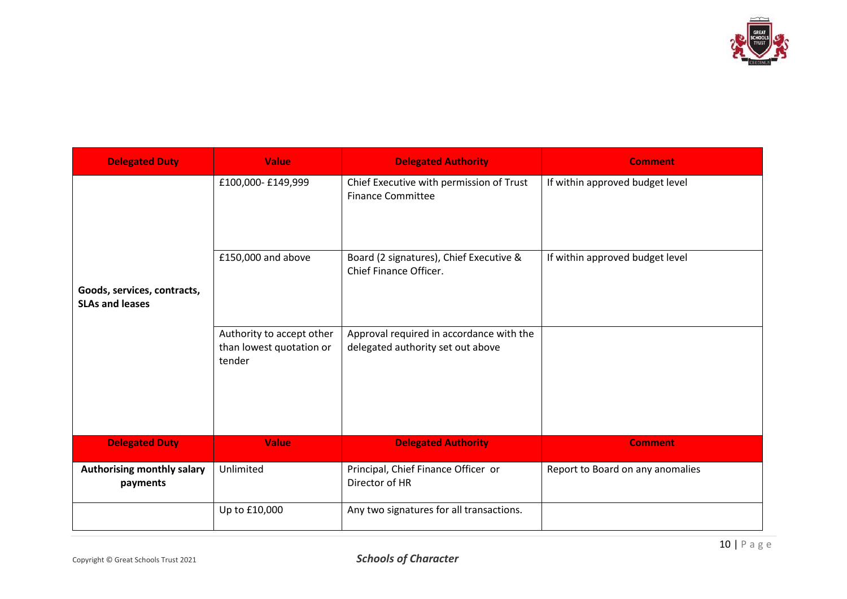

| <b>Delegated Duty</b>                  | <b>Value</b>                                                    | <b>Delegated Authority</b>                                                    | <b>Comment</b>                   |
|----------------------------------------|-----------------------------------------------------------------|-------------------------------------------------------------------------------|----------------------------------|
|                                        | £100,000-£149,999                                               | Chief Executive with permission of Trust<br><b>Finance Committee</b>          | If within approved budget level  |
| Goods, services, contracts,            | £150,000 and above                                              | Board (2 signatures), Chief Executive &<br>Chief Finance Officer.             | If within approved budget level  |
| <b>SLAs and leases</b>                 |                                                                 |                                                                               |                                  |
|                                        | Authority to accept other<br>than lowest quotation or<br>tender | Approval required in accordance with the<br>delegated authority set out above |                                  |
| <b>Delegated Duty</b>                  | <b>Value</b>                                                    | <b>Delegated Authority</b>                                                    | <b>Comment</b>                   |
| Authorising monthly salary<br>payments | Unlimited                                                       | Principal, Chief Finance Officer or<br>Director of HR                         | Report to Board on any anomalies |
|                                        | Up to £10,000                                                   | Any two signatures for all transactions.                                      |                                  |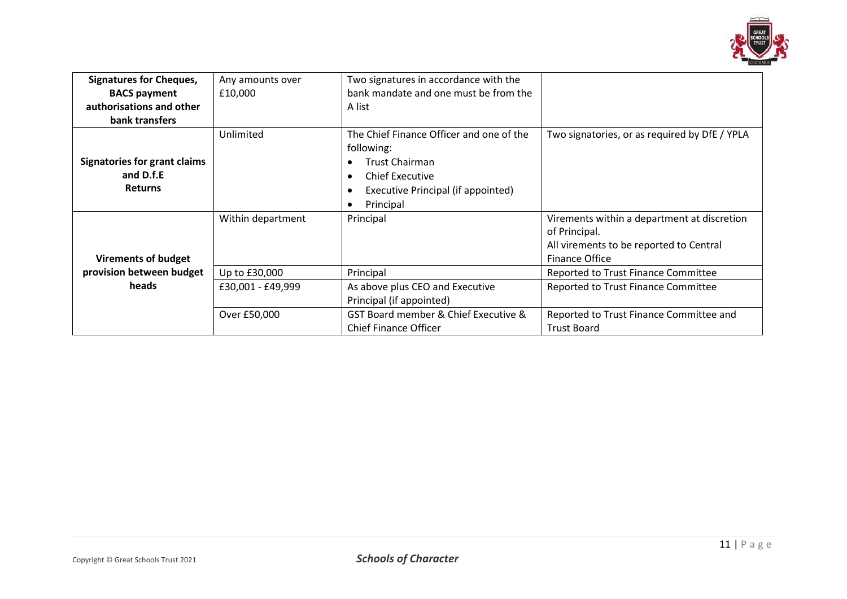

| <b>Signatures for Cheques,</b>                                     | Any amounts over  | Two signatures in accordance with the<br>bank mandate and one must be from the                                                                  |                                                                                                                           |
|--------------------------------------------------------------------|-------------------|-------------------------------------------------------------------------------------------------------------------------------------------------|---------------------------------------------------------------------------------------------------------------------------|
| <b>BACS payment</b><br>authorisations and other                    | £10,000           | A list                                                                                                                                          |                                                                                                                           |
| bank transfers                                                     |                   |                                                                                                                                                 |                                                                                                                           |
| <b>Signatories for grant claims</b><br>and D.f.E<br><b>Returns</b> | Unlimited         | The Chief Finance Officer and one of the<br>following:<br><b>Trust Chairman</b><br><b>Chief Executive</b><br>Executive Principal (if appointed) | Two signatories, or as required by DfE / YPLA                                                                             |
|                                                                    |                   | Principal                                                                                                                                       |                                                                                                                           |
| <b>Virements of budget</b>                                         | Within department | Principal                                                                                                                                       | Virements within a department at discretion<br>of Principal.<br>All virements to be reported to Central<br>Finance Office |
| provision between budget                                           | Up to £30,000     | Principal                                                                                                                                       | Reported to Trust Finance Committee                                                                                       |
| heads                                                              | £30,001 - £49,999 | As above plus CEO and Executive<br>Principal (if appointed)                                                                                     | Reported to Trust Finance Committee                                                                                       |
|                                                                    | Over £50,000      | GST Board member & Chief Executive &<br><b>Chief Finance Officer</b>                                                                            | Reported to Trust Finance Committee and<br><b>Trust Board</b>                                                             |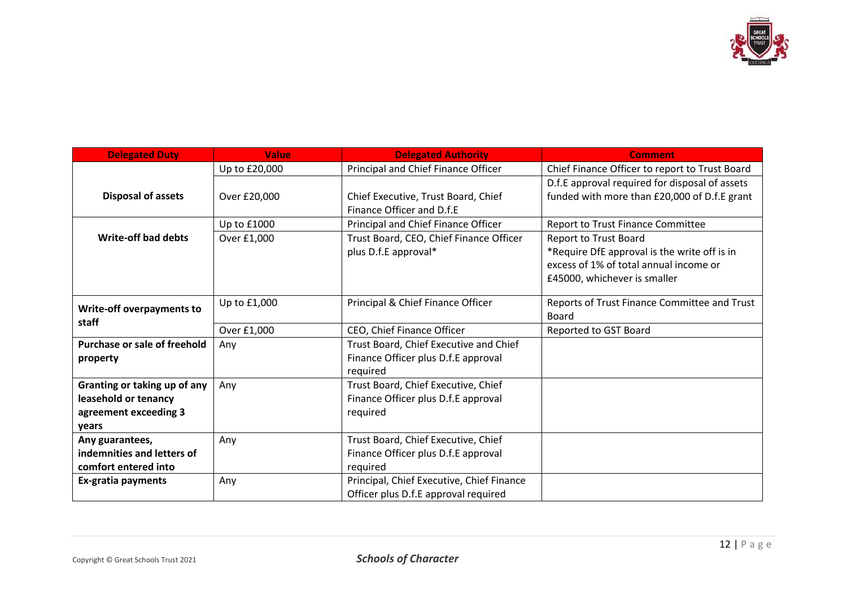

| <b>Delegated Duty</b>               | <b>Value</b>  | <b>Delegated Authority</b>                | <b>Comment</b>                                 |
|-------------------------------------|---------------|-------------------------------------------|------------------------------------------------|
|                                     | Up to £20,000 | Principal and Chief Finance Officer       | Chief Finance Officer to report to Trust Board |
|                                     |               |                                           | D.f.E approval required for disposal of assets |
| <b>Disposal of assets</b>           | Over £20,000  | Chief Executive, Trust Board, Chief       | funded with more than £20,000 of D.f.E grant   |
|                                     |               | Finance Officer and D.f.E                 |                                                |
|                                     | Up to £1000   | Principal and Chief Finance Officer       | <b>Report to Trust Finance Committee</b>       |
| <b>Write-off bad debts</b>          | Over £1,000   | Trust Board, CEO, Chief Finance Officer   | <b>Report to Trust Board</b>                   |
|                                     |               | plus D.f.E approval*                      | *Require DfE approval is the write off is in   |
|                                     |               |                                           | excess of 1% of total annual income or         |
|                                     |               |                                           | £45000, whichever is smaller                   |
|                                     |               |                                           |                                                |
| <b>Write-off overpayments to</b>    | Up to £1,000  | Principal & Chief Finance Officer         | Reports of Trust Finance Committee and Trust   |
| staff                               |               |                                           | Board                                          |
|                                     | Over £1,000   | CEO, Chief Finance Officer                | Reported to GST Board                          |
| <b>Purchase or sale of freehold</b> | Any           | Trust Board, Chief Executive and Chief    |                                                |
| property                            |               | Finance Officer plus D.f.E approval       |                                                |
|                                     |               | required                                  |                                                |
| Granting or taking up of any        | Any           | Trust Board, Chief Executive, Chief       |                                                |
| leasehold or tenancy                |               | Finance Officer plus D.f.E approval       |                                                |
| agreement exceeding 3               |               | required                                  |                                                |
| years                               |               |                                           |                                                |
| Any guarantees,                     | Any           | Trust Board, Chief Executive, Chief       |                                                |
| indemnities and letters of          |               | Finance Officer plus D.f.E approval       |                                                |
| comfort entered into                |               | required                                  |                                                |
| Ex-gratia payments                  | Any           | Principal, Chief Executive, Chief Finance |                                                |
|                                     |               | Officer plus D.f.E approval required      |                                                |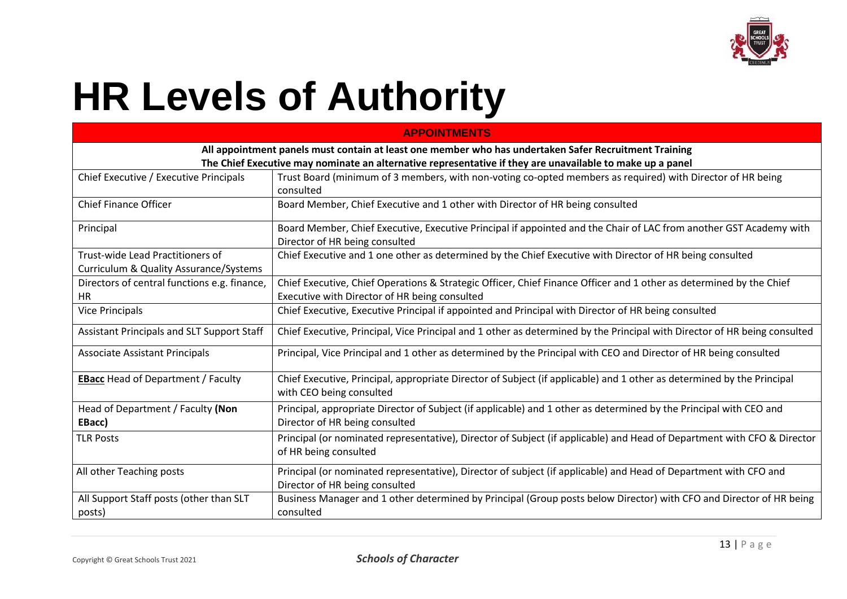

# **HR Levels of Authority**

| <b>APPOINTMENTS</b>                               |                                                                                                                                                    |  |  |  |
|---------------------------------------------------|----------------------------------------------------------------------------------------------------------------------------------------------------|--|--|--|
|                                                   | All appointment panels must contain at least one member who has undertaken Safer Recruitment Training                                              |  |  |  |
|                                                   | The Chief Executive may nominate an alternative representative if they are unavailable to make up a panel                                          |  |  |  |
| Chief Executive / Executive Principals            | Trust Board (minimum of 3 members, with non-voting co-opted members as required) with Director of HR being                                         |  |  |  |
|                                                   | consulted                                                                                                                                          |  |  |  |
| <b>Chief Finance Officer</b>                      | Board Member, Chief Executive and 1 other with Director of HR being consulted                                                                      |  |  |  |
| Principal                                         | Board Member, Chief Executive, Executive Principal if appointed and the Chair of LAC from another GST Academy with                                 |  |  |  |
|                                                   | Director of HR being consulted                                                                                                                     |  |  |  |
| Trust-wide Lead Practitioners of                  | Chief Executive and 1 one other as determined by the Chief Executive with Director of HR being consulted                                           |  |  |  |
| Curriculum & Quality Assurance/Systems            |                                                                                                                                                    |  |  |  |
| Directors of central functions e.g. finance,      | Chief Executive, Chief Operations & Strategic Officer, Chief Finance Officer and 1 other as determined by the Chief                                |  |  |  |
| <b>HR</b>                                         | Executive with Director of HR being consulted                                                                                                      |  |  |  |
| <b>Vice Principals</b>                            | Chief Executive, Executive Principal if appointed and Principal with Director of HR being consulted                                                |  |  |  |
| Assistant Principals and SLT Support Staff        | Chief Executive, Principal, Vice Principal and 1 other as determined by the Principal with Director of HR being consulted                          |  |  |  |
| <b>Associate Assistant Principals</b>             | Principal, Vice Principal and 1 other as determined by the Principal with CEO and Director of HR being consulted                                   |  |  |  |
| <b>EBacc</b> Head of Department / Faculty         | Chief Executive, Principal, appropriate Director of Subject (if applicable) and 1 other as determined by the Principal<br>with CEO being consulted |  |  |  |
| Head of Department / Faculty (Non                 | Principal, appropriate Director of Subject (if applicable) and 1 other as determined by the Principal with CEO and                                 |  |  |  |
| EBacc)                                            | Director of HR being consulted                                                                                                                     |  |  |  |
| <b>TLR Posts</b>                                  | Principal (or nominated representative), Director of Subject (if applicable) and Head of Department with CFO & Director<br>of HR being consulted   |  |  |  |
| All other Teaching posts                          | Principal (or nominated representative), Director of subject (if applicable) and Head of Department with CFO and<br>Director of HR being consulted |  |  |  |
| All Support Staff posts (other than SLT<br>posts) | Business Manager and 1 other determined by Principal (Group posts below Director) with CFO and Director of HR being<br>consulted                   |  |  |  |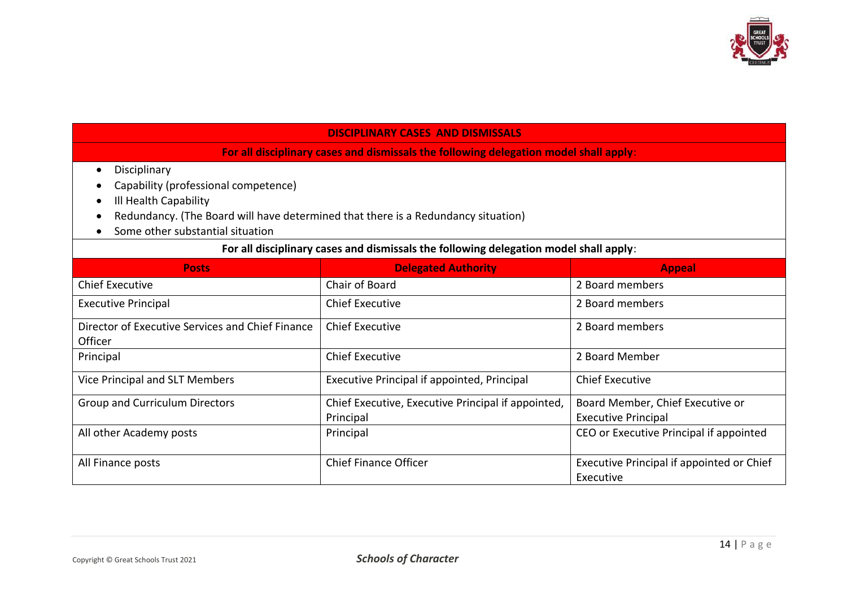

#### **DISCIPLINARY CASES AND DISMISSALS**

**For all disciplinary cases and dismissals the following delegation model shall apply**:

- Disciplinary
- Capability (professional competence)
- Ill Health Capability
- Redundancy. (The Board will have determined that there is a Redundancy situation)
- Some other substantial situation

#### **For all disciplinary cases and dismissals the following delegation model shall apply**:

| <b>Posts</b>                                     | <b>Delegated Authority</b>                         | <b>Appeal</b>                             |
|--------------------------------------------------|----------------------------------------------------|-------------------------------------------|
| <b>Chief Executive</b>                           | Chair of Board                                     | 2 Board members                           |
| <b>Executive Principal</b>                       | <b>Chief Executive</b>                             | 2 Board members                           |
| Director of Executive Services and Chief Finance | <b>Chief Executive</b>                             | 2 Board members                           |
| Officer                                          |                                                    |                                           |
| Principal                                        | <b>Chief Executive</b>                             | 2 Board Member                            |
| Vice Principal and SLT Members                   | Executive Principal if appointed, Principal        | <b>Chief Executive</b>                    |
| <b>Group and Curriculum Directors</b>            | Chief Executive, Executive Principal if appointed, | Board Member, Chief Executive or          |
|                                                  | Principal                                          | <b>Executive Principal</b>                |
| All other Academy posts                          | Principal                                          | CEO or Executive Principal if appointed   |
|                                                  |                                                    |                                           |
| All Finance posts                                | <b>Chief Finance Officer</b>                       | Executive Principal if appointed or Chief |
|                                                  |                                                    | Executive                                 |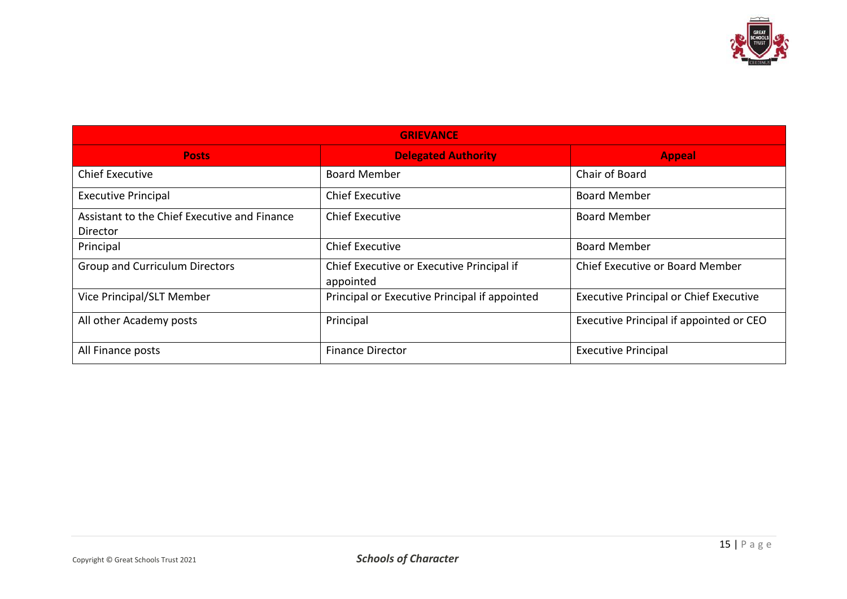

| <b>GRIEVANCE</b>                                         |                                                        |                                               |  |  |
|----------------------------------------------------------|--------------------------------------------------------|-----------------------------------------------|--|--|
| <b>Posts</b>                                             | <b>Delegated Authority</b>                             | <b>Appeal</b>                                 |  |  |
| <b>Chief Executive</b>                                   | <b>Board Member</b>                                    | Chair of Board                                |  |  |
| <b>Executive Principal</b>                               | <b>Chief Executive</b>                                 | <b>Board Member</b>                           |  |  |
| Assistant to the Chief Executive and Finance<br>Director | <b>Chief Executive</b>                                 | <b>Board Member</b>                           |  |  |
| Principal                                                | <b>Chief Executive</b>                                 | <b>Board Member</b>                           |  |  |
| <b>Group and Curriculum Directors</b>                    | Chief Executive or Executive Principal if<br>appointed | Chief Executive or Board Member               |  |  |
| Vice Principal/SLT Member                                | Principal or Executive Principal if appointed          | <b>Executive Principal or Chief Executive</b> |  |  |
| All other Academy posts                                  | Principal                                              | Executive Principal if appointed or CEO       |  |  |
| All Finance posts                                        | <b>Finance Director</b>                                | <b>Executive Principal</b>                    |  |  |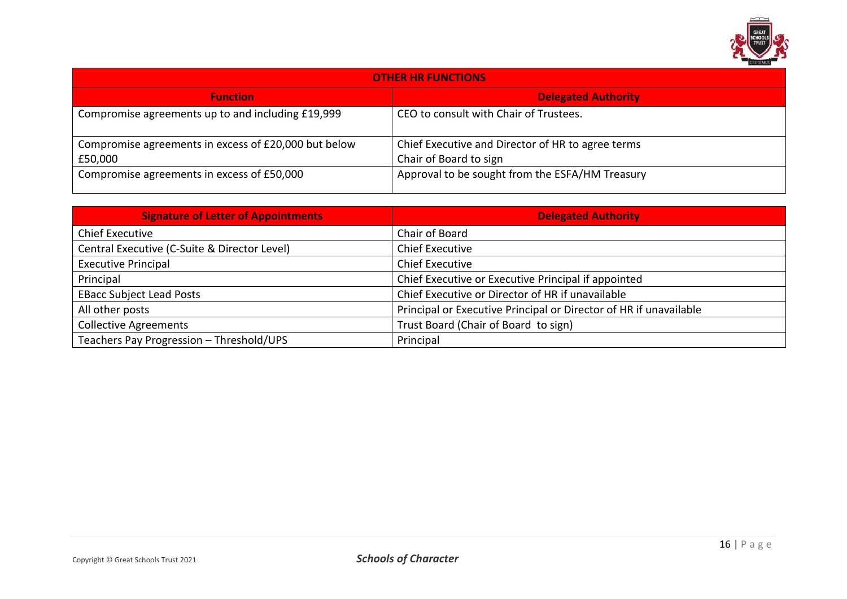

| <b>OTHER HR FUNCTIONS</b>                            |                                                   |  |
|------------------------------------------------------|---------------------------------------------------|--|
| <b>Function</b>                                      | <b>Delegated Authority</b>                        |  |
| Compromise agreements up to and including £19,999    | CEO to consult with Chair of Trustees.            |  |
| Compromise agreements in excess of £20,000 but below | Chief Executive and Director of HR to agree terms |  |
| £50,000                                              | Chair of Board to sign                            |  |
| Compromise agreements in excess of £50,000           | Approval to be sought from the ESFA/HM Treasury   |  |

| <b>Signature of Letter of Appointments</b>   | <b>Delegated Authority</b>                                        |
|----------------------------------------------|-------------------------------------------------------------------|
| <b>Chief Executive</b>                       | Chair of Board                                                    |
| Central Executive (C-Suite & Director Level) | <b>Chief Executive</b>                                            |
| <b>Executive Principal</b>                   | <b>Chief Executive</b>                                            |
| Principal                                    | Chief Executive or Executive Principal if appointed               |
| <b>EBacc Subject Lead Posts</b>              | Chief Executive or Director of HR if unavailable                  |
| All other posts                              | Principal or Executive Principal or Director of HR if unavailable |
| <b>Collective Agreements</b>                 | Trust Board (Chair of Board to sign)                              |
| Teachers Pay Progression - Threshold/UPS     | Principal                                                         |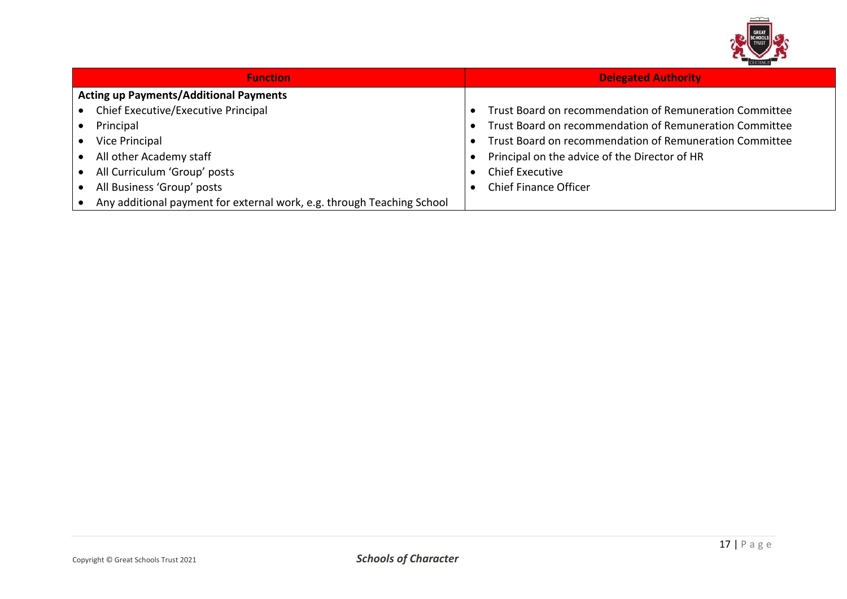

| <b>Function</b>                                                        | <b>Delegated Authority</b>                              |
|------------------------------------------------------------------------|---------------------------------------------------------|
| <b>Acting up Payments/Additional Payments</b>                          |                                                         |
| Chief Executive/Executive Principal                                    | Trust Board on recommendation of Remuneration Committee |
| Principal                                                              | Trust Board on recommendation of Remuneration Committee |
| Vice Principal                                                         | Trust Board on recommendation of Remuneration Committee |
| All other Academy staff                                                | Principal on the advice of the Director of HR           |
| All Curriculum 'Group' posts                                           | <b>Chief Executive</b>                                  |
| All Business 'Group' posts                                             | <b>Chief Finance Officer</b>                            |
| Any additional payment for external work, e.g. through Teaching School |                                                         |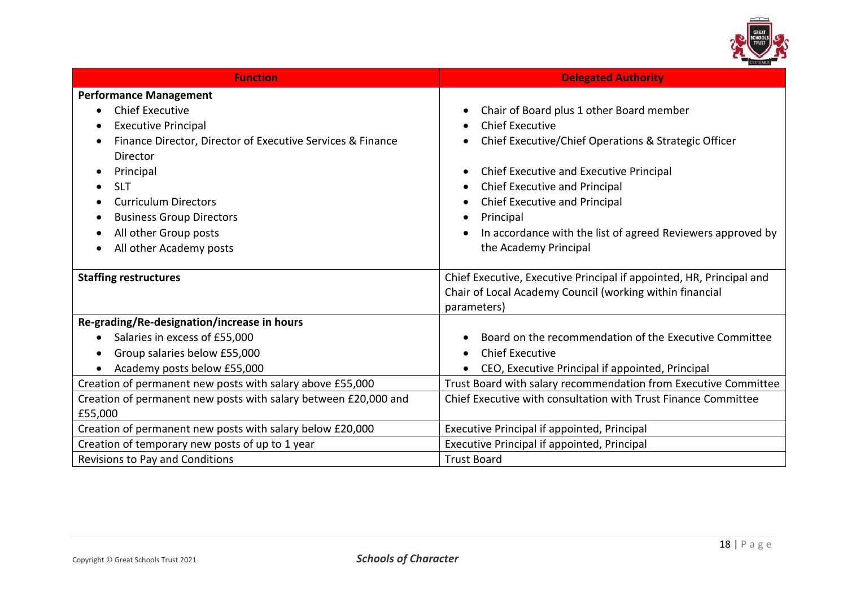

| <b>Function</b>                                                 | <b>Delegated Authority</b>                                           |
|-----------------------------------------------------------------|----------------------------------------------------------------------|
| <b>Performance Management</b>                                   |                                                                      |
| <b>Chief Executive</b>                                          | Chair of Board plus 1 other Board member                             |
| <b>Executive Principal</b>                                      | <b>Chief Executive</b>                                               |
| Finance Director, Director of Executive Services & Finance      | Chief Executive/Chief Operations & Strategic Officer                 |
| Director                                                        |                                                                      |
| Principal<br>$\bullet$                                          | Chief Executive and Executive Principal                              |
| <b>SLT</b><br>$\bullet$                                         | Chief Executive and Principal                                        |
| <b>Curriculum Directors</b>                                     | Chief Executive and Principal                                        |
| <b>Business Group Directors</b>                                 | Principal                                                            |
| All other Group posts                                           | In accordance with the list of agreed Reviewers approved by          |
| All other Academy posts                                         | the Academy Principal                                                |
|                                                                 |                                                                      |
| <b>Staffing restructures</b>                                    | Chief Executive, Executive Principal if appointed, HR, Principal and |
|                                                                 | Chair of Local Academy Council (working within financial             |
|                                                                 | parameters)                                                          |
| Re-grading/Re-designation/increase in hours                     |                                                                      |
| Salaries in excess of £55,000                                   | Board on the recommendation of the Executive Committee               |
| Group salaries below £55,000<br>$\bullet$                       | <b>Chief Executive</b><br>$\bullet$                                  |
| Academy posts below £55,000                                     | CEO, Executive Principal if appointed, Principal                     |
| Creation of permanent new posts with salary above £55,000       | Trust Board with salary recommendation from Executive Committee      |
| Creation of permanent new posts with salary between £20,000 and | Chief Executive with consultation with Trust Finance Committee       |
| £55,000                                                         |                                                                      |
| Creation of permanent new posts with salary below £20,000       | Executive Principal if appointed, Principal                          |
| Creation of temporary new posts of up to 1 year                 | Executive Principal if appointed, Principal                          |
| Revisions to Pay and Conditions                                 | <b>Trust Board</b>                                                   |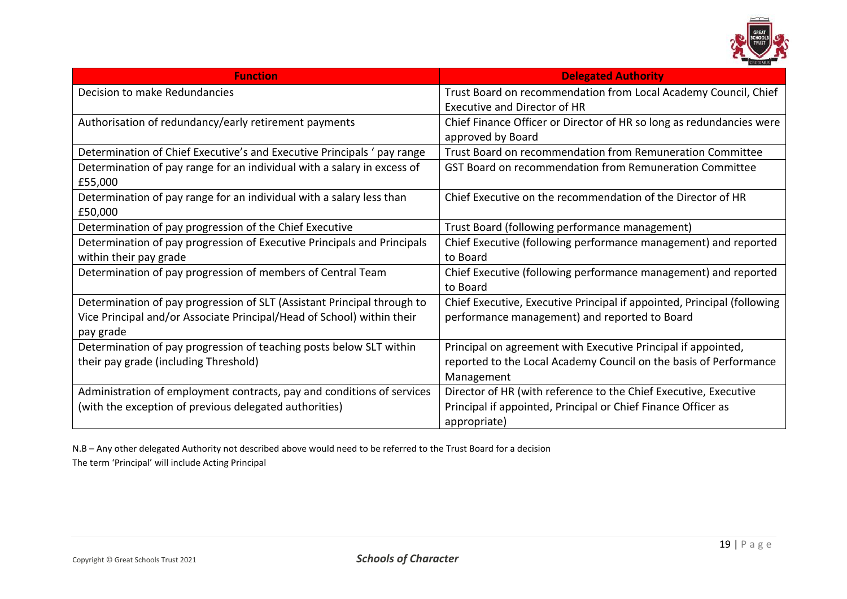

| <b>Function</b>                                                         | <b>Delegated Authority</b>                                              |
|-------------------------------------------------------------------------|-------------------------------------------------------------------------|
| Decision to make Redundancies                                           | Trust Board on recommendation from Local Academy Council, Chief         |
|                                                                         | <b>Executive and Director of HR</b>                                     |
| Authorisation of redundancy/early retirement payments                   | Chief Finance Officer or Director of HR so long as redundancies were    |
|                                                                         | approved by Board                                                       |
| Determination of Chief Executive's and Executive Principals ' pay range | Trust Board on recommendation from Remuneration Committee               |
| Determination of pay range for an individual with a salary in excess of | GST Board on recommendation from Remuneration Committee                 |
| £55,000                                                                 |                                                                         |
| Determination of pay range for an individual with a salary less than    | Chief Executive on the recommendation of the Director of HR             |
| £50,000                                                                 |                                                                         |
| Determination of pay progression of the Chief Executive                 | Trust Board (following performance management)                          |
| Determination of pay progression of Executive Principals and Principals | Chief Executive (following performance management) and reported         |
| within their pay grade                                                  | to Board                                                                |
| Determination of pay progression of members of Central Team             | Chief Executive (following performance management) and reported         |
|                                                                         | to Board                                                                |
| Determination of pay progression of SLT (Assistant Principal through to | Chief Executive, Executive Principal if appointed, Principal (following |
| Vice Principal and/or Associate Principal/Head of School) within their  | performance management) and reported to Board                           |
| pay grade                                                               |                                                                         |
| Determination of pay progression of teaching posts below SLT within     | Principal on agreement with Executive Principal if appointed,           |
| their pay grade (including Threshold)                                   | reported to the Local Academy Council on the basis of Performance       |
|                                                                         | Management                                                              |
| Administration of employment contracts, pay and conditions of services  | Director of HR (with reference to the Chief Executive, Executive        |
| (with the exception of previous delegated authorities)                  | Principal if appointed, Principal or Chief Finance Officer as           |
|                                                                         | appropriate)                                                            |

N.B – Any other delegated Authority not described above would need to be referred to the Trust Board for a decision The term 'Principal' will include Acting Principal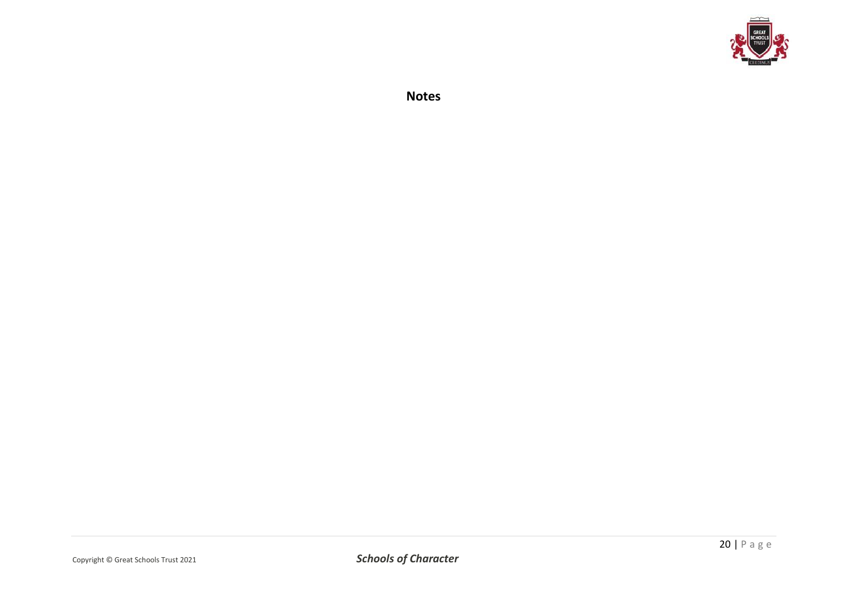

**Notes**